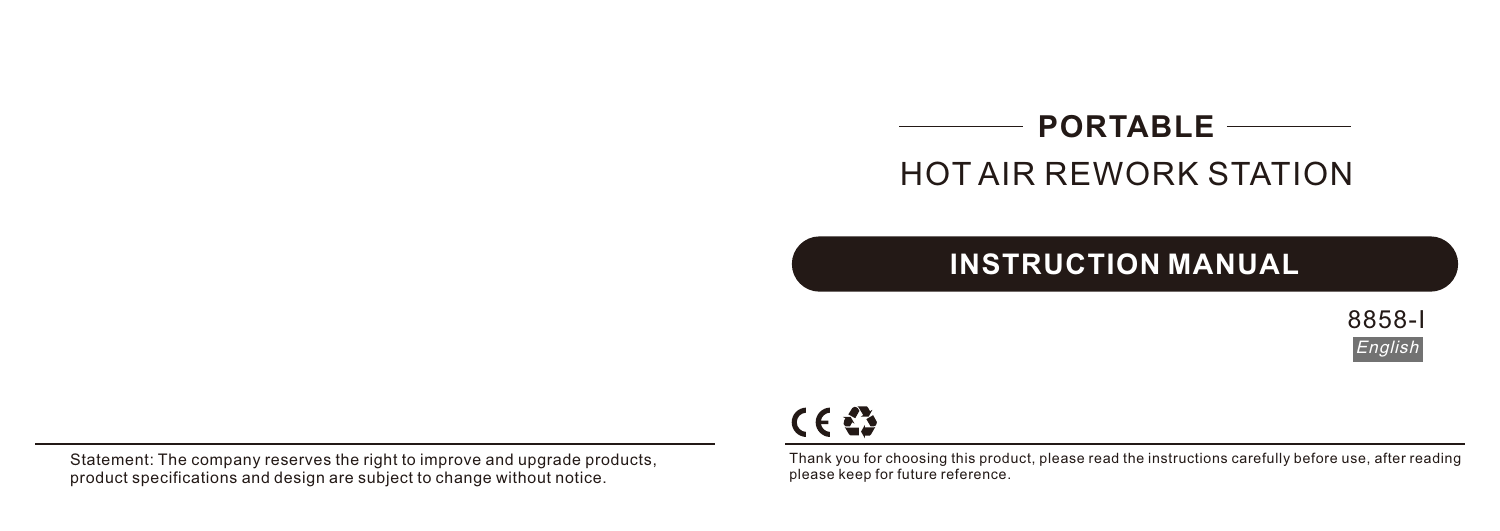#### **PORTABLE**  HOT AIR REWORK STATION

#### **INSTRUCTION MANUAL**

8858-I



Statement: The company reserves the right to improve and upgrade products, product specifications and design are subject to change without notice.

### $C \in \mathbb{C}^{\infty}$

Thank you for choosing this product, please read the instructions carefully before use, after reading please keep for future reference.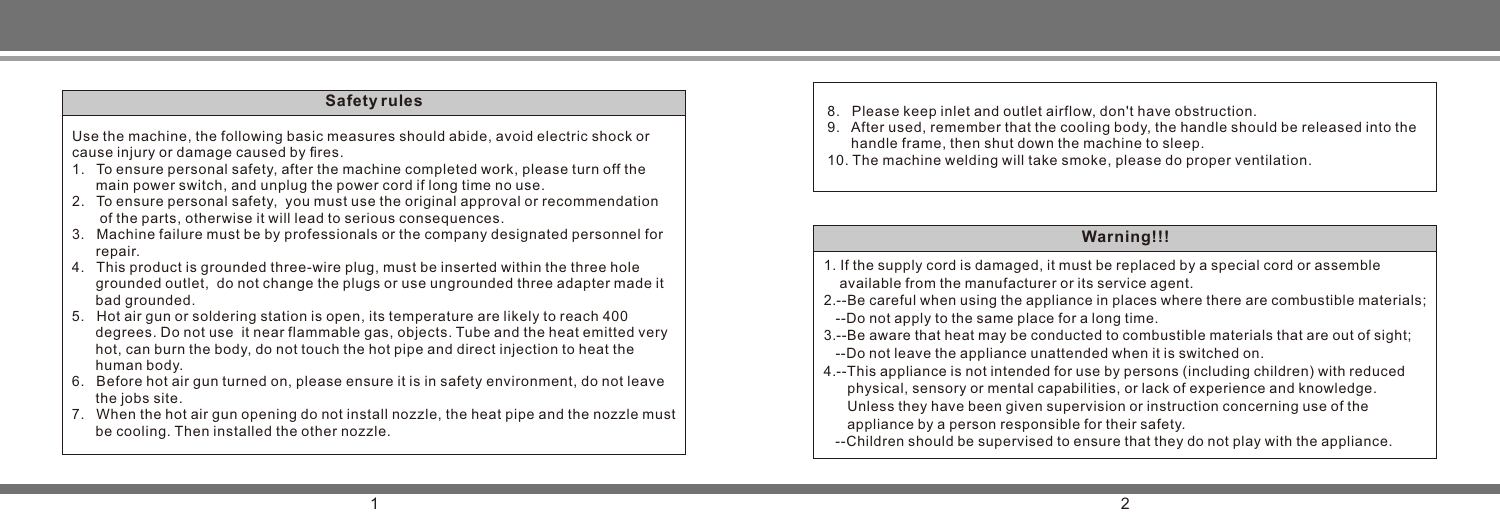#### **Safety rules**

Use the machine, the following basic measures should abide, avoid electric shock or cause injury or damage caused by fires.

- 1. To ensure personal safety, after the machine completed work, please turn off the main power switch, and unplug the power cord if long time no use.
- 2. To ensure personal safety, you must use the original approval or recommendation of the parts, otherwise it will lead to serious consequences.
- 3. Machine failure must be by professionals or the company designated personnel for repair.
- 4. This product is grounded three-wire plug, must be inserted within the three hole grounded outlet, do not change the plugs or use ungrounded three adapter made it bad grounded.
- 5. Hot air gun or soldering station is open, its temperature are likely to reach 400 degrees. Do not use it near flammable gas, objects. Tube and the heat emitted very hot, can burn the body, do not touch the hot pipe and direct injection to heat the human body.
- 6. Before hot air gun turned on, please ensure it is in safety environment, do not leave the jobs site.
- 7. When the hot air gun opening do not install nozzle, the heat pipe and the nozzle must be cooling. Then installed the other nozzle.
- 8. Please keep inlet and outlet airflow, don't have obstruction.
- 9. After used, remember that the cooling body, the handle should be released into the handle frame, then shut down the machine to sleep.
- 10. The machine welding will take smoke, please do proper ventilation.

#### **Warning!!!**

- 1. If the supply cord is damaged, it must be replaced by a special cord or assemble available from the manufacturer or its service agent.
- 2. --Be careful when using the appliance in places where there are combustible materials; --Do not apply to the same place for a long time.
- 3. --Be aware that heat may be conducted to combustible materials that are out of sight;
- --Do not leave the appliance unattended when it is switched on.
- 4. --This appliance is not intended for use by persons (including children) with reduced physical, sensory or mental capabilities, or lack of experience and knowledge. Unless they have been given supervision or instruction concerning use of the appliance by a person responsible for their safety.
- --Children should be supervised to ensure that they do not play with the appliance.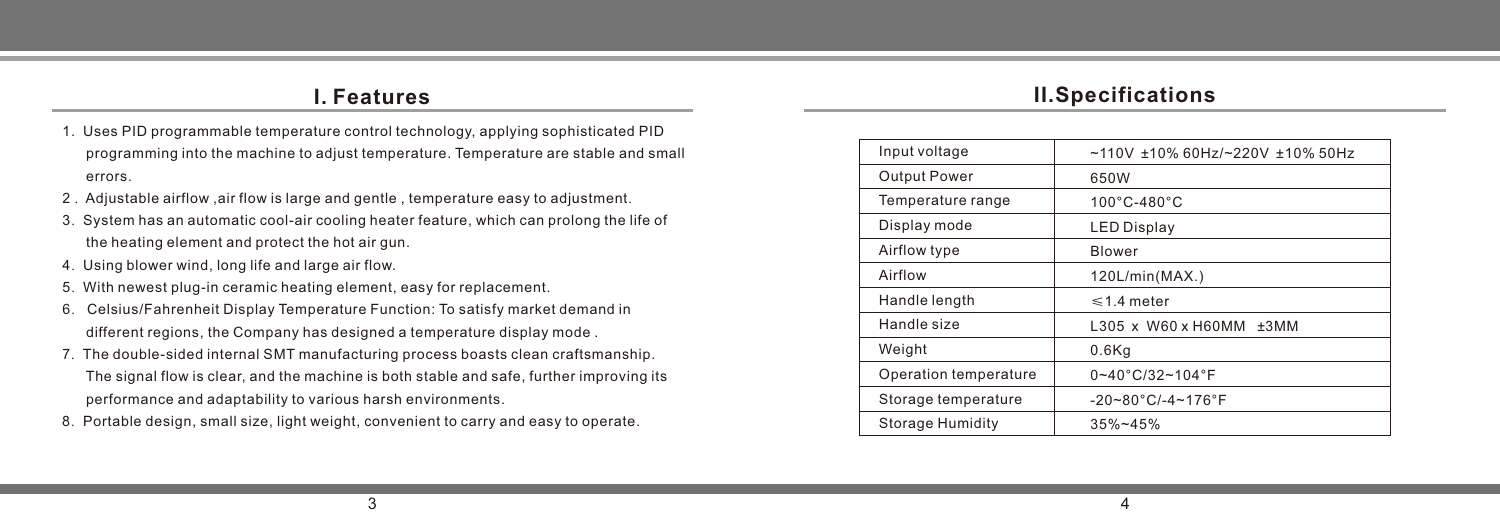#### **I. Features**

- 1. Uses PID programmable temperature control technology, applying sophisticated PID programming into the machine to adjust temperature. Temperature are stable and small errors.
- 2 . Adjustable airflow ,air flow is large and gentle , temperature easy to adjustment.
- 3. System has an automatic cool-air cooling heater feature, which can prolong the life of the heating element and protect the hot air gun.
- 4. Using blower wind, long life and large air flow.
- 5. With newest plug-in ceramic heating element, easy for replacement.
- 6. Celsius/Fahrenheit Display Temperature Function: To satisfy market demand in different regions, the Company has designed a temperature display mode .
- 7. The double-sided internal SMT manufacturing process boasts clean craftsmanship. The signal flow is clear, and the machine is both stable and safe, further improving its performance and adaptability to various harsh environments.
- 8. Portable design, small size, light weight, convenient to carry and easy to operate.

#### **II.Specifications**

| Input voltage         | $~110V$ ±10% 60Hz/~220V ±10% 50Hz          |  |  |
|-----------------------|--------------------------------------------|--|--|
| <b>Output Power</b>   | 650W                                       |  |  |
| Temperature range     | $100^{\circ}$ C-480 $^{\circ}$ C           |  |  |
| Display mode          | <b>LED Display</b>                         |  |  |
| Airflow type          | <b>Blower</b>                              |  |  |
| Airflow               | 120L/min(MAX.)                             |  |  |
| Handle length         | $\leq 1.4$ meter                           |  |  |
| Handle size           | L305 x W60 x H60MM<br>±3MM                 |  |  |
| Weight                | $0.6$ Kg                                   |  |  |
| Operation temperature | $0 - 40^{\circ}$ C/32~104°F                |  |  |
| Storage temperature   | $-20 - 80^{\circ}$ C/ $-4 - 176^{\circ}$ F |  |  |
| Storage Humidity      | $35\% - 45\%$                              |  |  |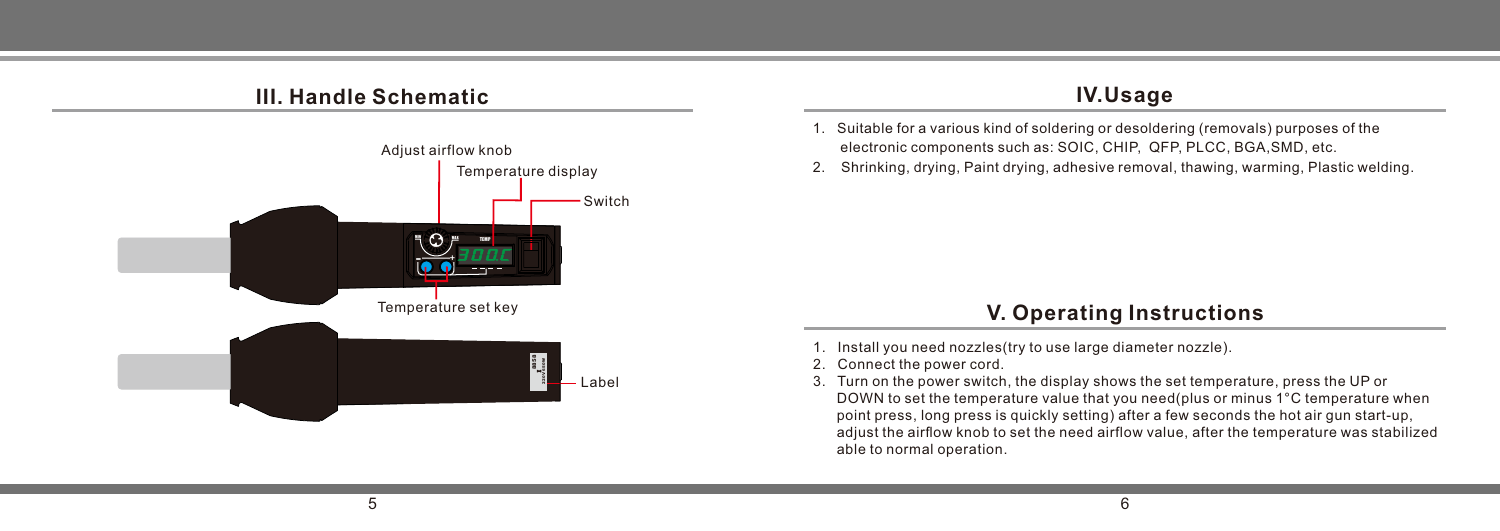#### **III. Handle Schematic**



#### **IV.Usage**

- 1. Suitable for a various kind of soldering or desoldering (removals) purposes of the electronic components such as: SOIC, CHIP, QFP, PLCC, BGA,SMD, etc.
- 2. Shrinking, drying, Paint drying, adhesive removal, thawing, warming, Plastic welding.

#### **V. Operating Instructions**

- 1. Install you need nozzles(try to use large diameter nozzle).
- 2. Connect the power cord.
- 3. Turn on the power switch, the display shows the set temperature, press the UP or DOWN to set the temperature value that you need(plus or minus 1°C temperature when point press, long press is quickly setting) after a few seconds the hot air gun start-up, adjust the airflow knob to set the need airflow value, after the temperature was stabilized able to normal operation.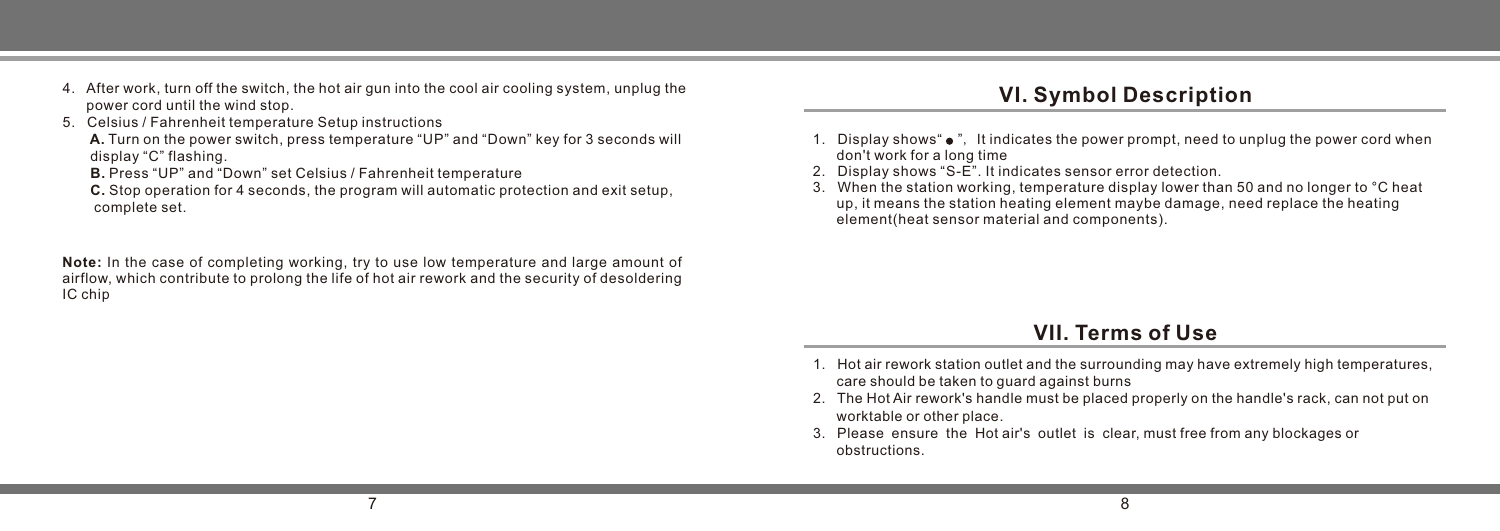- 4. After work, turn off the switch, the hot air gun into the cool air cooling system, unplug the power cord until the wind stop.
- 5. Celsius / Fahrenheit temperature Setup instructions
	- **A.** Turn on the power switch, press temperature "UP" and "Down" key for 3 seconds will display "C" flashing.
	- **B.** Press "UP" and "Down" set Celsius / Fahrenheit temperature

 **C.** Stop operation for 4 seconds, the program will automatic protection and exit setup, complete set.

**Note:** In the case of completing working, try to use low temperature and large amount of airflow, which contribute to prolong the life of hot air rework and the security of desoldering IC chip

#### **VI. Symbol Description**

- 1. Display shows  $\bullet$  ", It indicates the power prompt, need to unplug the power cord when don't work for a long time
- 2. Display shows "S-E". It indicates sensor error detection.
- 3. When the station working, temperature display lower than 50 and no longer to °C heat up, it means the station heating element maybe damage, need replace the heating element(heat sensor material and components).

#### **VII. Terms of Use**

- 1. Hot air rework station outlet and the surrounding may have extremely high temperatures, care should be taken to guard against burns
- 2. The Hot Air rework's handle must be placed properly on the handle's rack, can not put on worktable or other place.
- 3. Please ensure the Hot air's outlet is clear, must free from any blockages or obstructions.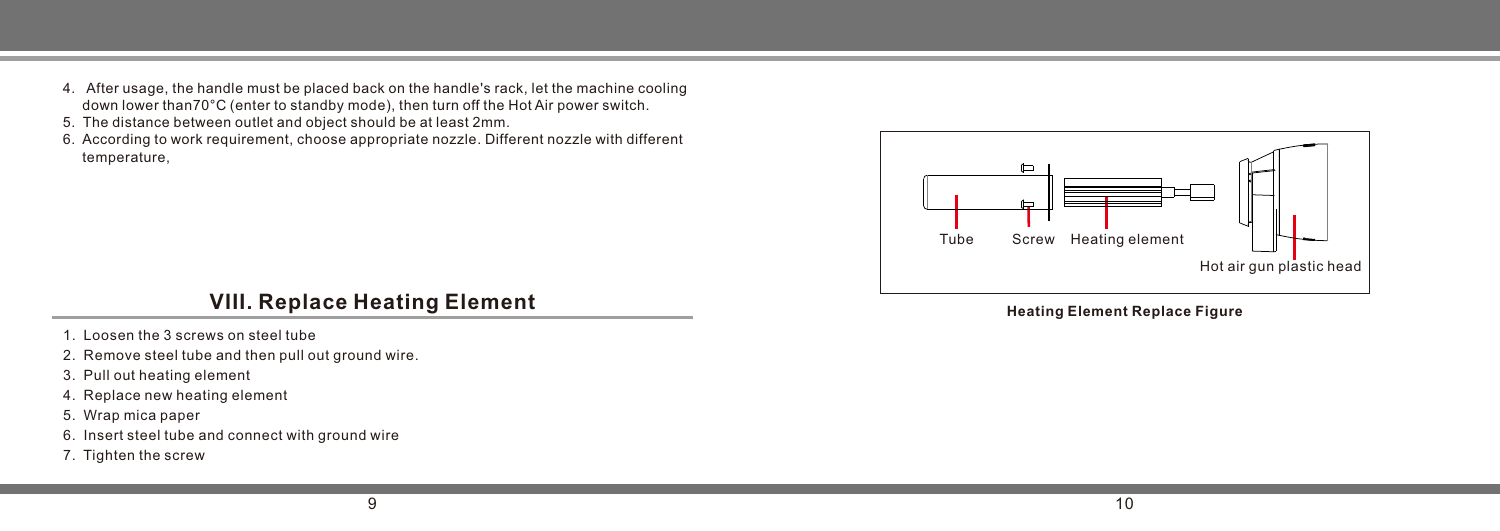- 4. After usage, the handle must be placed back on the handle's rack, let the machine cooling down lower than70°C (enter to standby mode), then turn off the Hot Air power switch.
- 5. The distance between outlet and object should be at least 2mm.
- 6. According to work requirement, choose appropriate nozzle. Different nozzle with different temperature,



#### **Heating Element Replace Figure**

#### **VIII. Replace Heating Element**

- 1. Loosen the 3 screws on steel tube
- 2. Remove steel tube and then pull out ground wire.
- 3. Pull out heating element
- 4. Replace new heating element
- 5. Wrap mica paper
- 6. Insert steel tube and connect with ground wire
- 7. Tighten the screw